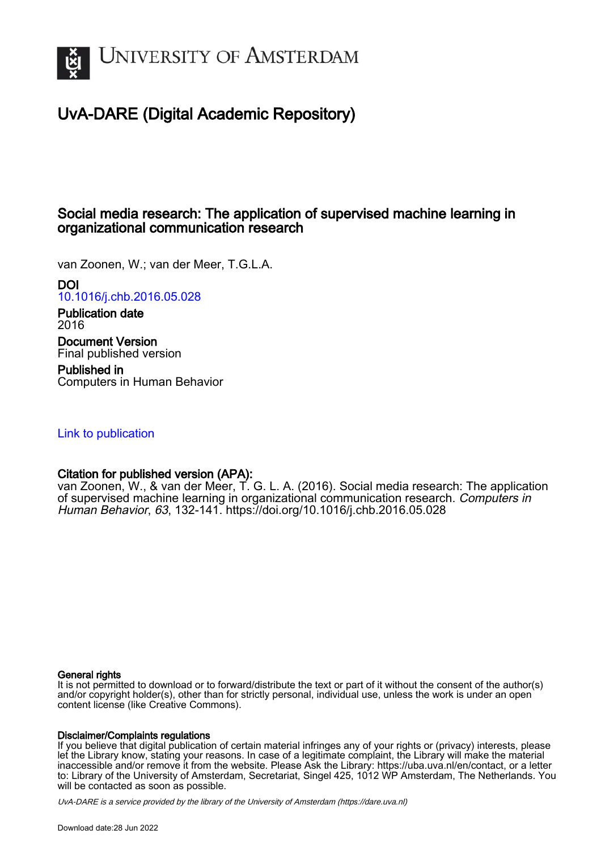

# UvA-DARE (Digital Academic Repository)

# Social media research: The application of supervised machine learning in organizational communication research

van Zoonen, W.; van der Meer, T.G.L.A.

DOI

[10.1016/j.chb.2016.05.028](https://doi.org/10.1016/j.chb.2016.05.028)

Publication date 2016

Document Version Final published version

Published in Computers in Human Behavior

# [Link to publication](https://dare.uva.nl/personal/pure/en/publications/social-media-research-the-application-of-supervised-machine-learning-in-organizational-communication-research(fc480d4e-4500-4f9e-b84c-399c4de296ec).html)

# Citation for published version (APA):

van Zoonen, W., & van der Meer, T. G. L. A. (2016). Social media research: The application of supervised machine learning in organizational communication research. Computers in Human Behavior, 63, 132-141. <https://doi.org/10.1016/j.chb.2016.05.028>

# General rights

It is not permitted to download or to forward/distribute the text or part of it without the consent of the author(s) and/or copyright holder(s), other than for strictly personal, individual use, unless the work is under an open content license (like Creative Commons).

# Disclaimer/Complaints regulations

If you believe that digital publication of certain material infringes any of your rights or (privacy) interests, please let the Library know, stating your reasons. In case of a legitimate complaint, the Library will make the material inaccessible and/or remove it from the website. Please Ask the Library: https://uba.uva.nl/en/contact, or a letter to: Library of the University of Amsterdam, Secretariat, Singel 425, 1012 WP Amsterdam, The Netherlands. You will be contacted as soon as possible.

UvA-DARE is a service provided by the library of the University of Amsterdam (http*s*://dare.uva.nl)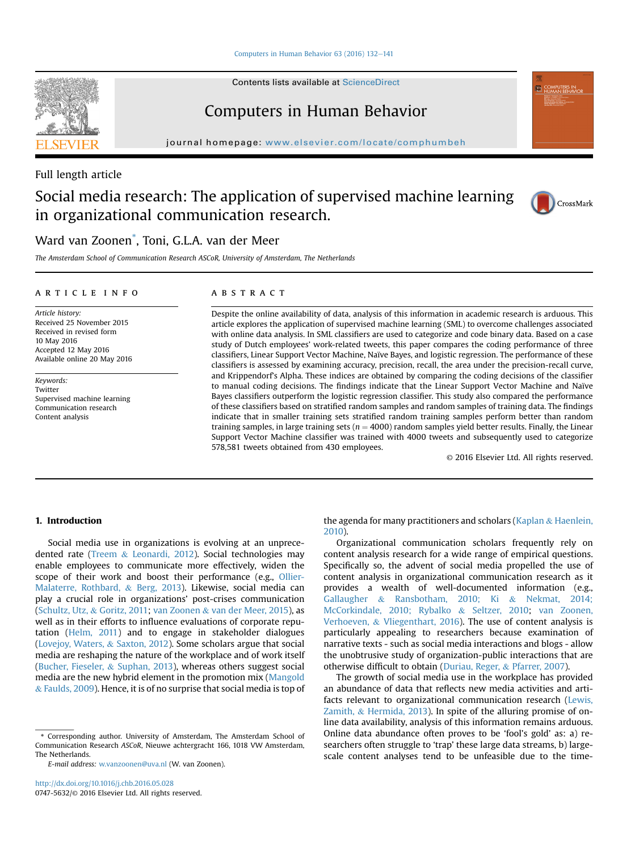Computers in Human Behavior  $63$  (2016) 132-[141](http://dx.doi.org/10.1016/j.chb.2016.05.028)

Contents lists available at ScienceDirect

# Computers in Human Behavior

journal homepage: <www.elsevier.com/locate/comphumbeh>



# Social media research: The application of supervised machine learning in organizational communication research.



# Ward van Zoonen\* , Toni, G.L.A. van der Meer

The Amsterdam School of Communication Research ASCoR, University of Amsterdam, The Netherlands

### article info

Article history: Received 25 November 2015 Received in revised form 10 May 2016 Accepted 12 May 2016 Available online 20 May 2016

Keywords: Twitter Supervised machine learning Communication research Content analysis

### **ABSTRACT**

Despite the online availability of data, analysis of this information in academic research is arduous. This article explores the application of supervised machine learning (SML) to overcome challenges associated with online data analysis. In SML classifiers are used to categorize and code binary data. Based on a case study of Dutch employees' work-related tweets, this paper compares the coding performance of three classifiers, Linear Support Vector Machine, Naïve Bayes, and logistic regression. The performance of these classifiers is assessed by examining accuracy, precision, recall, the area under the precision-recall curve, and Krippendorf's Alpha. These indices are obtained by comparing the coding decisions of the classifier to manual coding decisions. The findings indicate that the Linear Support Vector Machine and Naïve Bayes classifiers outperform the logistic regression classifier. This study also compared the performance of these classifiers based on stratified random samples and random samples of training data. The findings indicate that in smaller training sets stratified random training samples perform better than random training samples, in large training sets ( $n = 4000$ ) random samples yield better results. Finally, the Linear Support Vector Machine classifier was trained with 4000 tweets and subsequently used to categorize 578,581 tweets obtained from 430 employees.

© 2016 Elsevier Ltd. All rights reserved.

# 1. Introduction

Social media use in organizations is evolving at an unprecedented rate [\(Treem](#page-10-0) & [Leonardi, 2012\)](#page-10-0). Social technologies may enable employees to communicate more effectively, widen the scope of their work and boost their performance (e.g., [Ollier-](#page-10-0)[Malaterre, Rothbard,](#page-10-0) & [Berg, 2013](#page-10-0)). Likewise, social media can play a crucial role in organizations' post-crises communication ([Schultz, Utz,](#page-10-0) & [Goritz, 2011;](#page-10-0) [van Zoonen](#page-10-0) & [van der Meer, 2015](#page-10-0)), as well as in their efforts to influence evaluations of corporate reputation ([Helm, 2011\)](#page-9-0) and to engage in stakeholder dialogues ([Lovejoy, Waters,](#page-10-0) & [Saxton, 2012](#page-10-0)). Some scholars argue that social media are reshaping the nature of the workplace and of work itself ([Bucher, Fieseler,](#page-9-0) & [Suphan, 2013](#page-9-0)), whereas others suggest social media are the new hybrid element in the promotion mix ([Mangold](#page-10-0) & [Faulds, 2009\)](#page-10-0). Hence, it is of no surprise that social media is top of

\* Corresponding author. University of Amsterdam, The Amsterdam School of Communication Research ASCoR, Nieuwe achtergracht 166, 1018 VW Amsterdam, The Netherlands.

E-mail address: [w.vanzoonen@uva.nl](mailto:w.vanzoonen@uva.nl) (W. van Zoonen).

the agenda for many practitioners and scholars [\(Kaplan](#page-9-0) & [Haenlein,](#page-9-0) [2010\)](#page-9-0).

Organizational communication scholars frequently rely on content analysis research for a wide range of empirical questions. Specifically so, the advent of social media propelled the use of content analysis in organizational communication research as it provides a wealth of well-documented information (e.g., [Gallaugher](#page-9-0) & [Ransbotham, 2010; Ki](#page-9-0) & [Nekmat, 2014;](#page-9-0) [McCorkindale, 2010; Rybalko](#page-9-0) & [Seltzer, 2010;](#page-9-0) [van Zoonen,](#page-10-0) [Verhoeven,](#page-10-0) & [Vliegenthart, 2016](#page-10-0)). The use of content analysis is particularly appealing to researchers because examination of narrative texts - such as social media interactions and blogs - allow the unobtrusive study of organization-public interactions that are otherwise difficult to obtain [\(Duriau, Reger,](#page-9-0) & [Pfarrer, 2007\)](#page-9-0).

The growth of social media use in the workplace has provided an abundance of data that reflects new media activities and artifacts relevant to organizational communication research ([Lewis,](#page-10-0) [Zamith,](#page-10-0) & [Hermida, 2013\)](#page-10-0). In spite of the alluring promise of online data availability, analysis of this information remains arduous. Online data abundance often proves to be 'fool's gold' as: a) researchers often struggle to 'trap' these large data streams, b) largescale content analyses tend to be unfeasible due to the time-

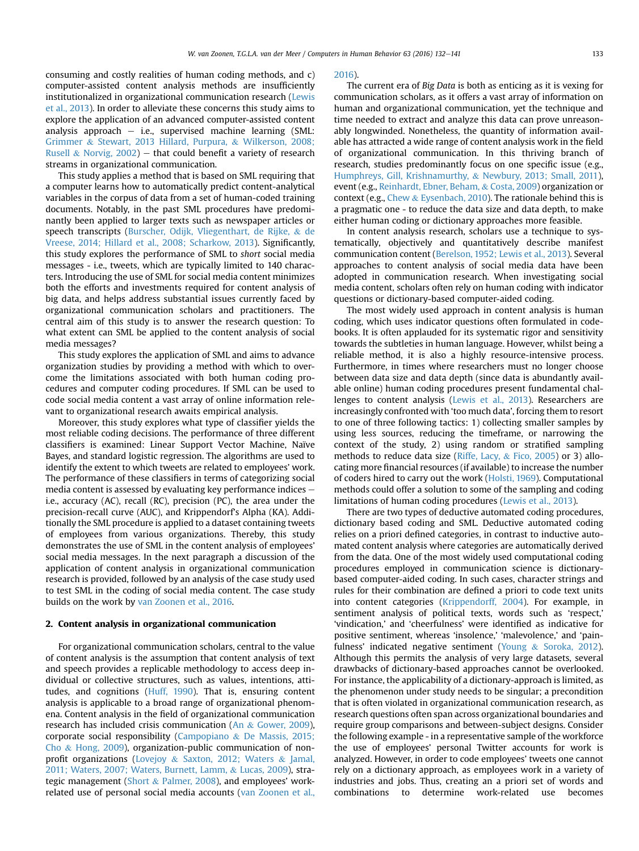consuming and costly realities of human coding methods, and c) computer-assisted content analysis methods are insufficiently institutionalized in organizational communication research [\(Lewis](#page-10-0) [et al., 2013](#page-10-0)). In order to alleviate these concerns this study aims to explore the application of an advanced computer-assisted content analysis approach  $-$  i.e., supervised machine learning (SML: [Grimmer](#page-9-0) & [Stewart, 2013 Hillard, Purpura,](#page-9-0) & [Wilkerson, 2008;](#page-9-0) [Rusell](#page-9-0) & Norvig,  $2002$ ) – that could benefit a variety of research streams in organizational communication.

This study applies a method that is based on SML requiring that a computer learns how to automatically predict content-analytical variables in the corpus of data from a set of human-coded training documents. Notably, in the past SML procedures have predominantly been applied to larger texts such as newspaper articles or speech transcripts ([Burscher, Odijk, Vliegenthart, de Rijke,](#page-9-0) & [de](#page-9-0) [Vreese, 2014; Hillard et al., 2008; Scharkow, 2013](#page-9-0)). Significantly, this study explores the performance of SML to short social media messages - i.e., tweets, which are typically limited to 140 characters. Introducing the use of SML for social media content minimizes both the efforts and investments required for content analysis of big data, and helps address substantial issues currently faced by organizational communication scholars and practitioners. The central aim of this study is to answer the research question: To what extent can SML be applied to the content analysis of social media messages?

This study explores the application of SML and aims to advance organization studies by providing a method with which to overcome the limitations associated with both human coding procedures and computer coding procedures. If SML can be used to code social media content a vast array of online information relevant to organizational research awaits empirical analysis.

Moreover, this study explores what type of classifier yields the most reliable coding decisions. The performance of three different classifiers is examined: Linear Support Vector Machine, Naïve Bayes, and standard logistic regression. The algorithms are used to identify the extent to which tweets are related to employees' work. The performance of these classifiers in terms of categorizing social media content is assessed by evaluating key performance indices  $$ i.e., accuracy (AC), recall (RC), precision (PC), the area under the precision-recall curve (AUC), and Krippendorf's Alpha (KA). Additionally the SML procedure is applied to a dataset containing tweets of employees from various organizations. Thereby, this study demonstrates the use of SML in the content analysis of employees' social media messages. In the next paragraph a discussion of the application of content analysis in organizational communication research is provided, followed by an analysis of the case study used to test SML in the coding of social media content. The case study builds on the work by [van Zoonen et al., 2016](#page-10-0).

#### 2. Content analysis in organizational communication

For organizational communication scholars, central to the value of content analysis is the assumption that content analysis of text and speech provides a replicable methodology to access deep individual or collective structures, such as values, intentions, attitudes, and cognitions [\(Huff, 1990\)](#page-9-0). That is, ensuring content analysis is applicable to a broad range of organizational phenomena. Content analysis in the field of organizational communication research has included crisis communication ([An](#page-9-0) & [Gower, 2009\)](#page-9-0), corporate social responsibility ([Campopiano](#page-9-0) & [De Massis, 2015;](#page-9-0) [Cho](#page-9-0) & [Hong, 2009\)](#page-9-0), organization-public communication of nonprofit organizations ([Lovejoy](#page-10-0) & [Saxton, 2012; Waters](#page-10-0) & [Jamal,](#page-10-0) [2011; Waters, 2007; Waters, Burnett, Lamm,](#page-10-0) & [Lucas, 2009](#page-10-0)), stra-tegic management ([Short](#page-10-0) & [Palmer, 2008](#page-10-0)), and employees' workrelated use of personal social media accounts ([van Zoonen et al.,](#page-10-0)

#### [2016\)](#page-10-0).

The current era of Big Data is both as enticing as it is vexing for communication scholars, as it offers a vast array of information on human and organizational communication, yet the technique and time needed to extract and analyze this data can prove unreasonably longwinded. Nonetheless, the quantity of information available has attracted a wide range of content analysis work in the field of organizational communication. In this thriving branch of research, studies predominantly focus on one specific issue (e.g., [Humphreys, Gill, Krishnamurthy,](#page-9-0) & [Newbury, 2013; Small, 2011\)](#page-9-0), event (e.g., [Reinhardt, Ebner, Beham,](#page-10-0) & [Costa, 2009\)](#page-10-0) organization or context (e.g., [Chew](#page-9-0) & [Eysenbach, 2010](#page-9-0)). The rationale behind this is a pragmatic one - to reduce the data size and data depth, to make either human coding or dictionary approaches more feasible.

In content analysis research, scholars use a technique to systematically, objectively and quantitatively describe manifest communication content [\(Berelson, 1952; Lewis et al., 2013](#page-9-0)). Several approaches to content analysis of social media data have been adopted in communication research. When investigating social media content, scholars often rely on human coding with indicator questions or dictionary-based computer-aided coding.

The most widely used approach in content analysis is human coding, which uses indicator questions often formulated in codebooks. It is often applauded for its systematic rigor and sensitivity towards the subtleties in human language. However, whilst being a reliable method, it is also a highly resource-intensive process. Furthermore, in times where researchers must no longer choose between data size and data depth (since data is abundantly available online) human coding procedures present fundamental challenges to content analysis [\(Lewis et al., 2013](#page-10-0)). Researchers are increasingly confronted with 'too much data', forcing them to resort to one of three following tactics: 1) collecting smaller samples by using less sources, reducing the timeframe, or narrowing the context of the study, 2) using random or stratified sampling methods to reduce data size [\(Riffe, Lacy,](#page-10-0) & [Fico, 2005\)](#page-10-0) or 3) allocating more financial resources (if available) to increase the number of coders hired to carry out the work [\(Holsti, 1969](#page-9-0)). Computational methods could offer a solution to some of the sampling and coding limitations of human coding procedures [\(Lewis et al., 2013](#page-10-0)).

There are two types of deductive automated coding procedures, dictionary based coding and SML. Deductive automated coding relies on a priori defined categories, in contrast to inductive automated content analysis where categories are automatically derived from the data. One of the most widely used computational coding procedures employed in communication science is dictionarybased computer-aided coding. In such cases, character strings and rules for their combination are defined a priori to code text units into content categories ([Krippendorff, 2004\)](#page-9-0). For example, in sentiment analysis of political texts, words such as 'respect,' 'vindication,' and 'cheerfulness' were identified as indicative for positive sentiment, whereas 'insolence,' 'malevolence,' and 'painfulness' indicated negative sentiment [\(Young](#page-10-0) & [Soroka, 2012\)](#page-10-0). Although this permits the analysis of very large datasets, several drawbacks of dictionary-based approaches cannot be overlooked. For instance, the applicability of a dictionary-approach is limited, as the phenomenon under study needs to be singular; a precondition that is often violated in organizational communication research, as research questions often span across organizational boundaries and require group comparisons and between-subject designs. Consider the following example - in a representative sample of the workforce the use of employees' personal Twitter accounts for work is analyzed. However, in order to code employees' tweets one cannot rely on a dictionary approach, as employees work in a variety of industries and jobs. Thus, creating an a priori set of words and combinations to determine work-related use becomes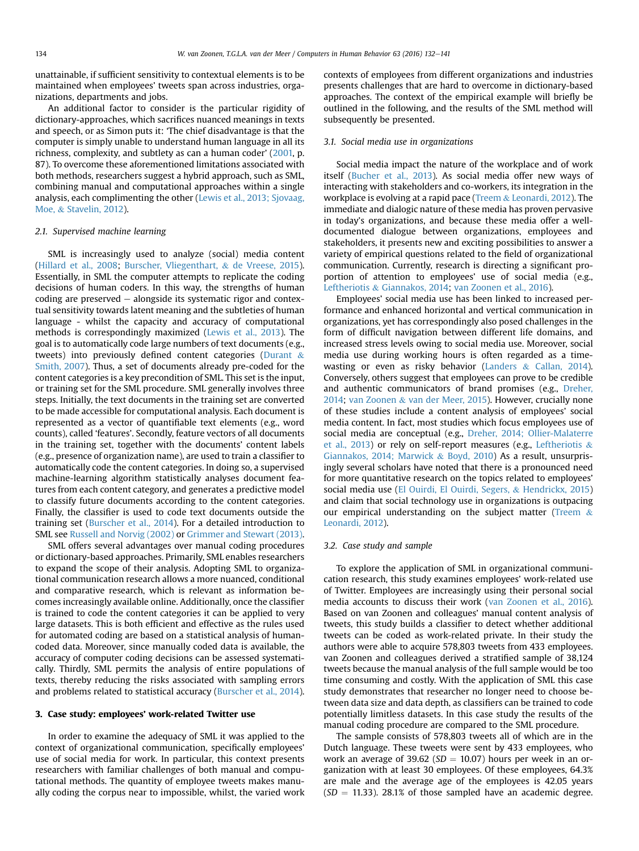unattainable, if sufficient sensitivity to contextual elements is to be maintained when employees' tweets span across industries, organizations, departments and jobs.

An additional factor to consider is the particular rigidity of dictionary-approaches, which sacrifices nuanced meanings in texts and speech, or as Simon puts it: 'The chief disadvantage is that the computer is simply unable to understand human language in all its richness, complexity, and subtlety as can a human coder' [\(2001,](#page-10-0) p. 87). To overcome these aforementioned limitations associated with both methods, researchers suggest a hybrid approach, such as SML, combining manual and computational approaches within a single analysis, each complimenting the other [\(Lewis et al., 2013; Sjovaag,](#page-10-0) [Moe,](#page-10-0) & [Stavelin, 2012](#page-10-0)).

#### 2.1. Supervised machine learning

SML is increasingly used to analyze (social) media content ([Hillard et al., 2008;](#page-9-0) [Burscher, Vliegenthart,](#page-9-0) & [de Vreese, 2015\)](#page-9-0). Essentially, in SML the computer attempts to replicate the coding decisions of human coders. In this way, the strengths of human coding are preserved  $-$  alongside its systematic rigor and contextual sensitivity towards latent meaning and the subtleties of human language - whilst the capacity and accuracy of computational methods is correspondingly maximized [\(Lewis et al., 2013](#page-10-0)). The goal is to automatically code large numbers of text documents (e.g., tweets) into previously defined content categories ([Durant](#page-9-0) & [Smith, 2007](#page-9-0)). Thus, a set of documents already pre-coded for the content categories is a key precondition of SML. This set is the input, or training set for the SML procedure. SML generally involves three steps. Initially, the text documents in the training set are converted to be made accessible for computational analysis. Each document is represented as a vector of quantifiable text elements (e.g., word counts), called 'features'. Secondly, feature vectors of all documents in the training set, together with the documents' content labels (e.g., presence of organization name), are used to train a classifier to automatically code the content categories. In doing so, a supervised machine-learning algorithm statistically analyses document features from each content category, and generates a predictive model to classify future documents according to the content categories. Finally, the classifier is used to code text documents outside the training set ([Burscher et al., 2014\)](#page-9-0). For a detailed introduction to SML see [Russell and Norvig \(2002\)](#page-10-0) or [Grimmer and Stewart \(2013\).](#page-9-0)

SML offers several advantages over manual coding procedures or dictionary-based approaches. Primarily, SML enables researchers to expand the scope of their analysis. Adopting SML to organizational communication research allows a more nuanced, conditional and comparative research, which is relevant as information becomes increasingly available online. Additionally, once the classifier is trained to code the content categories it can be applied to very large datasets. This is both efficient and effective as the rules used for automated coding are based on a statistical analysis of humancoded data. Moreover, since manually coded data is available, the accuracy of computer coding decisions can be assessed systematically. Thirdly, SML permits the analysis of entire populations of texts, thereby reducing the risks associated with sampling errors and problems related to statistical accuracy ([Burscher et al., 2014\)](#page-9-0).

#### 3. Case study: employees' work-related Twitter use

In order to examine the adequacy of SML it was applied to the context of organizational communication, specifically employees' use of social media for work. In particular, this context presents researchers with familiar challenges of both manual and computational methods. The quantity of employee tweets makes manually coding the corpus near to impossible, whilst, the varied work contexts of employees from different organizations and industries presents challenges that are hard to overcome in dictionary-based approaches. The context of the empirical example will briefly be outlined in the following, and the results of the SML method will subsequently be presented.

#### 3.1. Social media use in organizations

Social media impact the nature of the workplace and of work itself ([Bucher et al., 2013](#page-9-0)). As social media offer new ways of interacting with stakeholders and co-workers, its integration in the workplace is evolving at a rapid pace [\(Treem](#page-10-0) & [Leonardi, 2012](#page-10-0)). The immediate and dialogic nature of these media has proven pervasive in today's organizations, and because these media offer a welldocumented dialogue between organizations, employees and stakeholders, it presents new and exciting possibilities to answer a variety of empirical questions related to the field of organizational communication. Currently, research is directing a significant proportion of attention to employees' use of social media (e.g., [Leftheriotis](#page-9-0) & [Giannakos, 2014](#page-9-0); [van Zoonen et al., 2016](#page-10-0)).

Employees' social media use has been linked to increased performance and enhanced horizontal and vertical communication in organizations, yet has correspondingly also posed challenges in the form of difficult navigation between different life domains, and increased stress levels owing to social media use. Moreover, social media use during working hours is often regarded as a timewasting or even as risky behavior [\(Landers](#page-9-0) & [Callan, 2014\)](#page-9-0). Conversely, others suggest that employees can prove to be credible and authentic communicators of brand promises (e.g., [Dreher,](#page-9-0) [2014;](#page-9-0) [van Zoonen](#page-10-0) & [van der Meer, 2015\)](#page-10-0). However, crucially none of these studies include a content analysis of employees' social media content. In fact, most studies which focus employees use of social media are conceptual (e.g., [Dreher, 2014; Ollier-Malaterre](#page-9-0) [et al., 2013](#page-9-0)) or rely on self-report measures (e.g., [Leftheriotis](#page-9-0)  $\&$ [Giannakos, 2014; Marwick](#page-9-0) & [Boyd, 2010\)](#page-9-0) As a result, unsurprisingly several scholars have noted that there is a pronounced need for more quantitative research on the topics related to employees' social media use [\(El Ouirdi, El Ouirdi, Segers,](#page-9-0) & [Hendrickx, 2015\)](#page-9-0) and claim that social technology use in organizations is outpacing our empirical understanding on the subject matter ([Treem](#page-10-0)  $\&$ [Leonardi, 2012](#page-10-0)).

#### 3.2. Case study and sample

To explore the application of SML in organizational communication research, this study examines employees' work-related use of Twitter. Employees are increasingly using their personal social media accounts to discuss their work ([van Zoonen et al., 2016\)](#page-10-0). Based on van Zoonen and colleagues' manual content analysis of tweets, this study builds a classifier to detect whether additional tweets can be coded as work-related private. In their study the authors were able to acquire 578,803 tweets from 433 employees. van Zoonen and colleagues derived a stratified sample of 38,124 tweets because the manual analysis of the full sample would be too time consuming and costly. With the application of SML this case study demonstrates that researcher no longer need to choose between data size and data depth, as classifiers can be trained to code potentially limitless datasets. In this case study the results of the manual coding procedure are compared to the SML procedure.

The sample consists of 578,803 tweets all of which are in the Dutch language. These tweets were sent by 433 employees, who work an average of 39.62 ( $SD = 10.07$ ) hours per week in an organization with at least 30 employees. Of these employees, 64.3% are male and the average age of the employees is 42.05 years  $(SD = 11.33)$ . 28.1% of those sampled have an academic degree.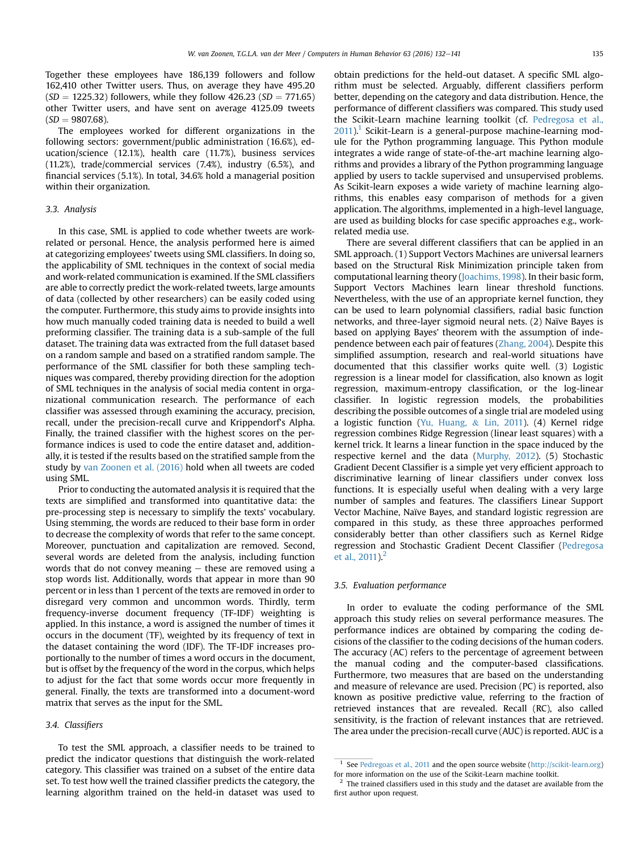Together these employees have 186,139 followers and follow 162,410 other Twitter users. Thus, on average they have 495.20  $(SD = 1225.32)$  followers, while they follow 426.23  $(SD = 771.65)$ other Twitter users, and have sent on average 4125.09 tweets  $(SD = 9807.68)$ .

The employees worked for different organizations in the following sectors: government/public administration (16.6%), education/science (12.1%), health care (11.7%), business services (11.2%), trade/commercial services (7.4%), industry (6.5%), and financial services (5.1%). In total, 34.6% hold a managerial position within their organization.

## 3.3. Analysis

In this case, SML is applied to code whether tweets are workrelated or personal. Hence, the analysis performed here is aimed at categorizing employees' tweets using SML classifiers. In doing so, the applicability of SML techniques in the context of social media and work-related communication is examined. If the SML classifiers are able to correctly predict the work-related tweets, large amounts of data (collected by other researchers) can be easily coded using the computer. Furthermore, this study aims to provide insights into how much manually coded training data is needed to build a well preforming classifier. The training data is a sub-sample of the full dataset. The training data was extracted from the full dataset based on a random sample and based on a stratified random sample. The performance of the SML classifier for both these sampling techniques was compared, thereby providing direction for the adoption of SML techniques in the analysis of social media content in organizational communication research. The performance of each classifier was assessed through examining the accuracy, precision, recall, under the precision-recall curve and Krippendorf's Alpha. Finally, the trained classifier with the highest scores on the performance indices is used to code the entire dataset and, additionally, it is tested if the results based on the stratified sample from the study by [van Zoonen et al. \(2016\)](#page-10-0) hold when all tweets are coded using SML.

Prior to conducting the automated analysis it is required that the texts are simplified and transformed into quantitative data: the pre-processing step is necessary to simplify the texts' vocabulary. Using stemming, the words are reduced to their base form in order to decrease the complexity of words that refer to the same concept. Moreover, punctuation and capitalization are removed. Second, several words are deleted from the analysis, including function words that do not convey meaning  $-$  these are removed using a stop words list. Additionally, words that appear in more than 90 percent or in less than 1 percent of the texts are removed in order to disregard very common and uncommon words. Thirdly, term frequency-inverse document frequency (TF-IDF) weighting is applied. In this instance, a word is assigned the number of times it occurs in the document (TF), weighted by its frequency of text in the dataset containing the word (IDF). The TF-IDF increases proportionally to the number of times a word occurs in the document, but is offset by the frequency of the word in the corpus, which helps to adjust for the fact that some words occur more frequently in general. Finally, the texts are transformed into a document-word matrix that serves as the input for the SML.

# 3.4. Classifiers

To test the SML approach, a classifier needs to be trained to predict the indicator questions that distinguish the work-related category. This classifier was trained on a subset of the entire data set. To test how well the trained classifier predicts the category, the learning algorithm trained on the held-in dataset was used to obtain predictions for the held-out dataset. A specific SML algorithm must be selected. Arguably, different classifiers perform better, depending on the category and data distribution. Hence, the performance of different classifiers was compared. This study used the Scikit-Learn machine learning toolkit (cf. [Pedregosa et al.,](#page-10-0)  $2011$ <sup>1</sup>. Scikit-Learn is a general-purpose machine-learning module for the Python programming language. This Python module integrates a wide range of state-of-the-art machine learning algorithms and provides a library of the Python programming language applied by users to tackle supervised and unsupervised problems. As Scikit-learn exposes a wide variety of machine learning algorithms, this enables easy comparison of methods for a given application. The algorithms, implemented in a high-level language, are used as building blocks for case specific approaches e.g., workrelated media use.

There are several different classifiers that can be applied in an SML approach. (1) Support Vectors Machines are universal learners based on the Structural Risk Minimization principle taken from computational learning theory ([Joachims, 1998](#page-9-0)). In their basic form, Support Vectors Machines learn linear threshold functions. Nevertheless, with the use of an appropriate kernel function, they can be used to learn polynomial classifiers, radial basic function networks, and three-layer sigmoid neural nets. (2) Naïve Bayes is based on applying Bayes' theorem with the assumption of independence between each pair of features [\(Zhang, 2004](#page-10-0)). Despite this simplified assumption, research and real-world situations have documented that this classifier works quite well. (3) Logistic regression is a linear model for classification, also known as logit regression, maximum-entropy classification, or the log-linear classifier. In logistic regression models, the probabilities describing the possible outcomes of a single trial are modeled using a logistic function [\(Yu, Huang,](#page-10-0)  $&$  [Lin, 2011\)](#page-10-0). (4) Kernel ridge regression combines Ridge Regression (linear least squares) with a kernel trick. It learns a linear function in the space induced by the respective kernel and the data [\(Murphy, 2012](#page-10-0)). (5) Stochastic Gradient Decent Classifier is a simple yet very efficient approach to discriminative learning of linear classifiers under convex loss functions. It is especially useful when dealing with a very large number of samples and features. The classifiers Linear Support Vector Machine, Naïve Bayes, and standard logistic regression are compared in this study, as these three approaches performed considerably better than other classifiers such as Kernel Ridge regression and Stochastic Gradient Decent Classifier [\(Pedregosa](#page-10-0) [et al., 2011](#page-10-0)).<sup>2</sup>

## 3.5. Evaluation performance

In order to evaluate the coding performance of the SML approach this study relies on several performance measures. The performance indices are obtained by comparing the coding decisions of the classifier to the coding decisions of the human coders. The accuracy (AC) refers to the percentage of agreement between the manual coding and the computer-based classifications. Furthermore, two measures that are based on the understanding and measure of relevance are used. Precision (PC) is reported, also known as positive predictive value, referring to the fraction of retrieved instances that are revealed. Recall (RC), also called sensitivity, is the fraction of relevant instances that are retrieved. The area under the precision-recall curve (AUC) is reported. AUC is a

<sup>&</sup>lt;sup>1</sup> See [Pedregoas et al., 2011](#page-10-0) and the open source website (<http://scikit-learn.org>) for more information on the use of the Scikit-Learn machine toolkit.

 $2$  The trained classifiers used in this study and the dataset are available from the first author upon request.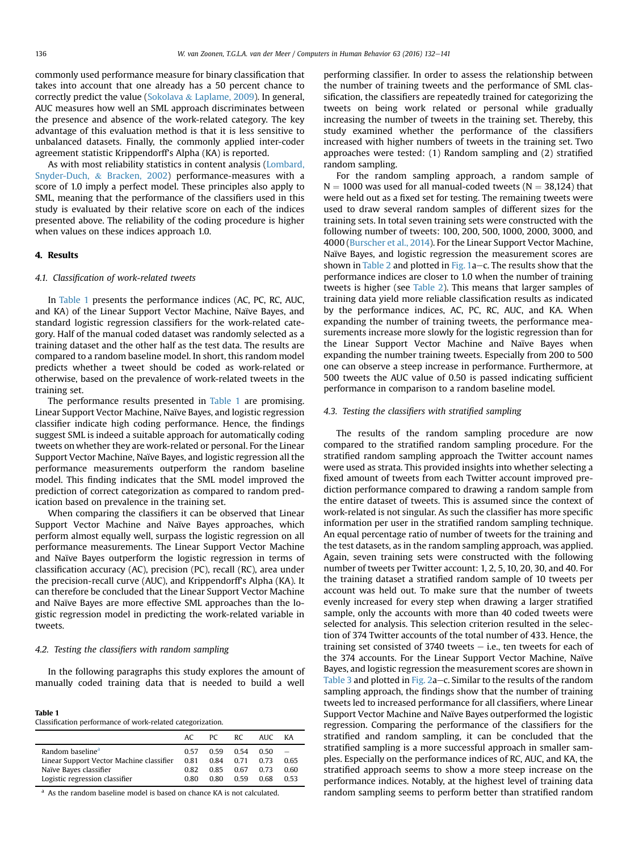commonly used performance measure for binary classification that takes into account that one already has a 50 percent chance to correctly predict the value ([Sokolava](#page-10-0) & [Laplame, 2009\)](#page-10-0). In general, AUC measures how well an SML approach discriminates between the presence and absence of the work-related category. The key advantage of this evaluation method is that it is less sensitive to unbalanced datasets. Finally, the commonly applied inter-coder agreement statistic Krippendorff's Alpha (KA) is reported.

As with most reliability statistics in content analysis [\(Lombard,](#page-10-0) [Snyder-Duch,](#page-10-0) & [Bracken, 2002](#page-10-0)) performance-measures with a score of 1.0 imply a perfect model. These principles also apply to SML, meaning that the performance of the classifiers used in this study is evaluated by their relative score on each of the indices presented above. The reliability of the coding procedure is higher when values on these indices approach 1.0.

## 4. Results

## 4.1. Classification of work-related tweets

In Table 1 presents the performance indices (AC, PC, RC, AUC, and KA) of the Linear Support Vector Machine, Naïve Bayes, and standard logistic regression classifiers for the work-related category. Half of the manual coded dataset was randomly selected as a training dataset and the other half as the test data. The results are compared to a random baseline model. In short, this random model predicts whether a tweet should be coded as work-related or otherwise, based on the prevalence of work-related tweets in the training set.

The performance results presented in Table 1 are promising. Linear Support Vector Machine, Naïve Bayes, and logistic regression classifier indicate high coding performance. Hence, the findings suggest SML is indeed a suitable approach for automatically coding tweets on whether they are work-related or personal. For the Linear Support Vector Machine, Naïve Bayes, and logistic regression all the performance measurements outperform the random baseline model. This finding indicates that the SML model improved the prediction of correct categorization as compared to random predication based on prevalence in the training set.

When comparing the classifiers it can be observed that Linear Support Vector Machine and Naïve Bayes approaches, which perform almost equally well, surpass the logistic regression on all performance measurements. The Linear Support Vector Machine and Naïve Bayes outperform the logistic regression in terms of classification accuracy (AC), precision (PC), recall (RC), area under the precision-recall curve (AUC), and Krippendorff's Alpha (KA). It can therefore be concluded that the Linear Support Vector Machine and Naïve Bayes are more effective SML approaches than the logistic regression model in predicting the work-related variable in tweets.

### 4.2. Testing the classifiers with random sampling

In the following paragraphs this study explores the amount of manually coded training data that is needed to build a well

Table 1

Classification performance of work-related categorization.

|                                          | AC   | PC.  | RC.  | AUC  | <b>KA</b> |
|------------------------------------------|------|------|------|------|-----------|
| Random baseline <sup>a</sup>             | 0.57 | በ 59 | 0.54 | 0.50 |           |
| Linear Support Vector Machine classifier | 0.81 | 0.84 | 0.71 | 0.73 | 0.65      |
| Naïve Bayes classifier                   | 0.82 | 0.85 | 0.67 | 0.73 | 0.60      |
| Logistic regression classifier           | 0.80 | 0.80 | 0.59 | 0.68 | 0.53      |

<sup>a</sup> As the random baseline model is based on chance KA is not calculated.

performing classifier. In order to assess the relationship between the number of training tweets and the performance of SML classification, the classifiers are repeatedly trained for categorizing the tweets on being work related or personal while gradually increasing the number of tweets in the training set. Thereby, this study examined whether the performance of the classifiers increased with higher numbers of tweets in the training set. Two approaches were tested: (1) Random sampling and (2) stratified random sampling.

For the random sampling approach, a random sample of  $N = 1000$  was used for all manual-coded tweets ( $N = 38,124$ ) that were held out as a fixed set for testing. The remaining tweets were used to draw several random samples of different sizes for the training sets. In total seven training sets were constructed with the following number of tweets: 100, 200, 500, 1000, 2000, 3000, and 4000 [\(Burscher et al., 2014\)](#page-9-0). For the Linear Support Vector Machine, Naïve Bayes, and logistic regression the measurement scores are shown in [Table 2](#page-6-0) and plotted in Fig.  $1a-c$ . The results show that the performance indices are closer to 1.0 when the number of training tweets is higher (see [Table 2](#page-6-0)). This means that larger samples of training data yield more reliable classification results as indicated by the performance indices, AC, PC, RC, AUC, and KA. When expanding the number of training tweets, the performance measurements increase more slowly for the logistic regression than for the Linear Support Vector Machine and Naïve Bayes when expanding the number training tweets. Especially from 200 to 500 one can observe a steep increase in performance. Furthermore, at 500 tweets the AUC value of 0.50 is passed indicating sufficient performance in comparison to a random baseline model.

### 4.3. Testing the classifiers with stratified sampling

The results of the random sampling procedure are now compared to the stratified random sampling procedure. For the stratified random sampling approach the Twitter account names were used as strata. This provided insights into whether selecting a fixed amount of tweets from each Twitter account improved prediction performance compared to drawing a random sample from the entire dataset of tweets. This is assumed since the context of work-related is not singular. As such the classifier has more specific information per user in the stratified random sampling technique. An equal percentage ratio of number of tweets for the training and the test datasets, as in the random sampling approach, was applied. Again, seven training sets were constructed with the following number of tweets per Twitter account: 1, 2, 5, 10, 20, 30, and 40. For the training dataset a stratified random sample of 10 tweets per account was held out. To make sure that the number of tweets evenly increased for every step when drawing a larger stratified sample, only the accounts with more than 40 coded tweets were selected for analysis. This selection criterion resulted in the selection of 374 Twitter accounts of the total number of 433. Hence, the training set consisted of 3740 tweets  $-$  i.e., ten tweets for each of the 374 accounts. For the Linear Support Vector Machine, Naïve Bayes, and logistic regression the measurement scores are shown in [Table 3](#page-7-0) and plotted in [Fig. 2](#page-7-0)a–c. Similar to the results of the random sampling approach, the findings show that the number of training tweets led to increased performance for all classifiers, where Linear Support Vector Machine and Naïve Bayes outperformed the logistic regression. Comparing the performance of the classifiers for the stratified and random sampling, it can be concluded that the stratified sampling is a more successful approach in smaller samples. Especially on the performance indices of RC, AUC, and KA, the stratified approach seems to show a more steep increase on the performance indices. Notably, at the highest level of training data random sampling seems to perform better than stratified random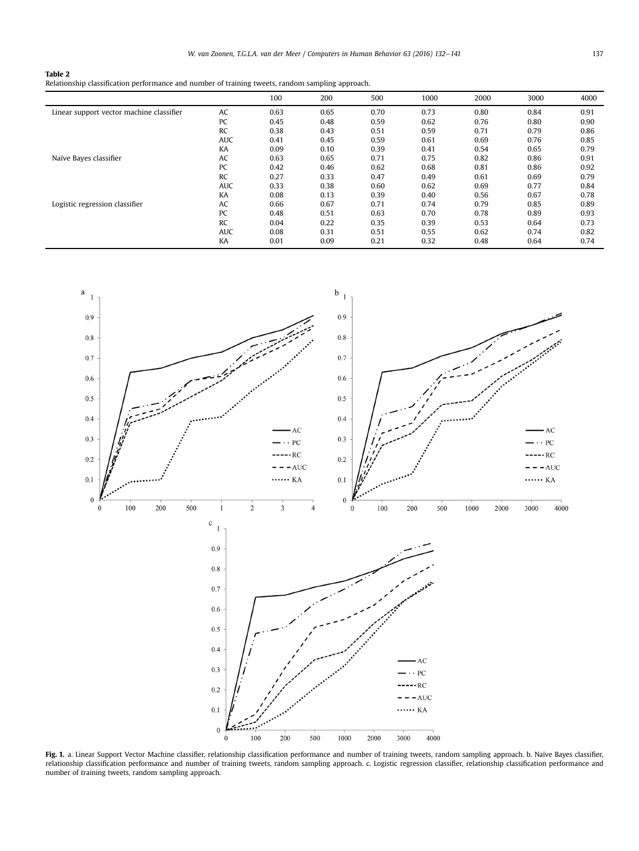<span id="page-6-0"></span>

| Table 2                                                                                          |
|--------------------------------------------------------------------------------------------------|
| Relationship classification performance and number of training tweets, random sampling approach. |

|                                          |            | 100  | 200  | 500  | 1000 | 2000 | 3000 | 4000 |
|------------------------------------------|------------|------|------|------|------|------|------|------|
| Linear support vector machine classifier | AC         | 0.63 | 0.65 | 0.70 | 0.73 | 0.80 | 0.84 | 0.91 |
|                                          | PC         | 0.45 | 0.48 | 0.59 | 0.62 | 0.76 | 0.80 | 0.90 |
|                                          | <b>RC</b>  | 0.38 | 0.43 | 0.51 | 0.59 | 0.71 | 0.79 | 0.86 |
|                                          | <b>AUC</b> | 0.41 | 0.45 | 0.59 | 0.61 | 0.69 | 0.76 | 0.85 |
|                                          | KA         | 0.09 | 0.10 | 0.39 | 0.41 | 0.54 | 0.65 | 0.79 |
| Naïve Bayes classifier                   | AC         | 0.63 | 0.65 | 0.71 | 0.75 | 0.82 | 0.86 | 0.91 |
|                                          | PC         | 0.42 | 0.46 | 0.62 | 0.68 | 0.81 | 0.86 | 0.92 |
|                                          | <b>RC</b>  | 0.27 | 0.33 | 0.47 | 0.49 | 0.61 | 0.69 | 0.79 |
|                                          | <b>AUC</b> | 0.33 | 0.38 | 0.60 | 0.62 | 0.69 | 0.77 | 0.84 |
|                                          | KA         | 0.08 | 0.13 | 0.39 | 0.40 | 0.56 | 0.67 | 0.78 |
| Logistic regression classifier           | AC         | 0.66 | 0.67 | 0.71 | 0.74 | 0.79 | 0.85 | 0.89 |
|                                          | PC         | 0.48 | 0.51 | 0.63 | 0.70 | 0.78 | 0.89 | 0.93 |
|                                          | <b>RC</b>  | 0.04 | 0.22 | 0.35 | 0.39 | 0.53 | 0.64 | 0.73 |
|                                          | <b>AUC</b> | 0.08 | 0.31 | 0.51 | 0.55 | 0.62 | 0.74 | 0.82 |
|                                          | KA         | 0.01 | 0.09 | 0.21 | 0.32 | 0.48 | 0.64 | 0.74 |



Fig. 1. a. Linear Support Vector Machine classifier, relationship classification performance and number of training tweets, random sampling approach. b. Naïve Bayes classifier, relationship classification performance and number of training tweets, random sampling approach. c. Logistic regression classifier, relationship classification performance and number of training tweets, random sampling approach.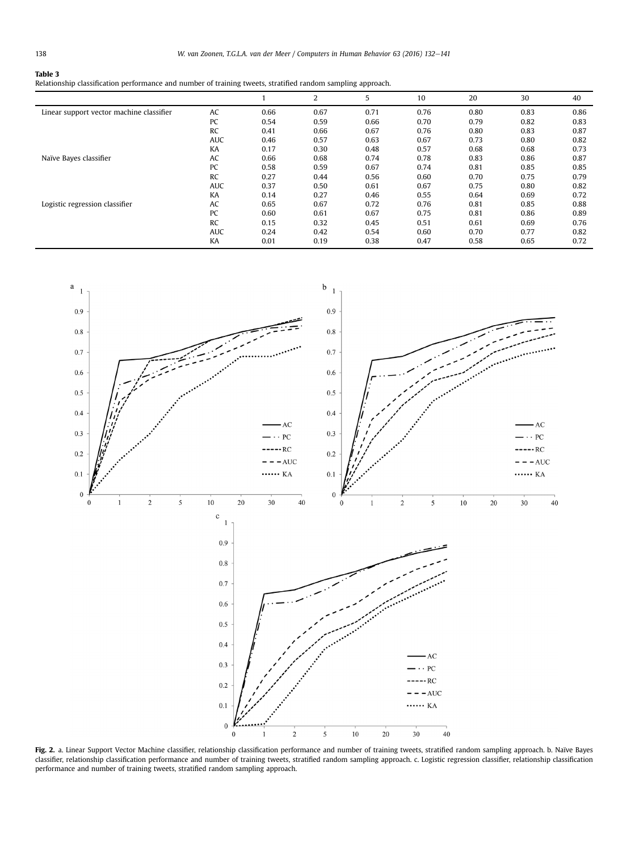### <span id="page-7-0"></span>Table 3

Relationship classification performance and number of training tweets, stratified random sampling approach.

|                                          |            |      | 2    | 5    | 10   | 20   | 30   | 40   |
|------------------------------------------|------------|------|------|------|------|------|------|------|
| Linear support vector machine classifier | AC         | 0.66 | 0.67 | 0.71 | 0.76 | 0.80 | 0.83 | 0.86 |
|                                          | PC         | 0.54 | 0.59 | 0.66 | 0.70 | 0.79 | 0.82 | 0.83 |
|                                          | <b>RC</b>  | 0.41 | 0.66 | 0.67 | 0.76 | 0.80 | 0.83 | 0.87 |
|                                          | <b>AUC</b> | 0.46 | 0.57 | 0.63 | 0.67 | 0.73 | 0.80 | 0.82 |
|                                          | KA         | 0.17 | 0.30 | 0.48 | 0.57 | 0.68 | 0.68 | 0.73 |
| Naïve Bayes classifier                   | AC         | 0.66 | 0.68 | 0.74 | 0.78 | 0.83 | 0.86 | 0.87 |
|                                          | PC         | 0.58 | 0.59 | 0.67 | 0.74 | 0.81 | 0.85 | 0.85 |
|                                          | <b>RC</b>  | 0.27 | 0.44 | 0.56 | 0.60 | 0.70 | 0.75 | 0.79 |
|                                          | <b>AUC</b> | 0.37 | 0.50 | 0.61 | 0.67 | 0.75 | 0.80 | 0.82 |
|                                          | KA         | 0.14 | 0.27 | 0.46 | 0.55 | 0.64 | 0.69 | 0.72 |
| Logistic regression classifier           | AC         | 0.65 | 0.67 | 0.72 | 0.76 | 0.81 | 0.85 | 0.88 |
|                                          | PC         | 0.60 | 0.61 | 0.67 | 0.75 | 0.81 | 0.86 | 0.89 |
|                                          | <b>RC</b>  | 0.15 | 0.32 | 0.45 | 0.51 | 0.61 | 0.69 | 0.76 |
|                                          | <b>AUC</b> | 0.24 | 0.42 | 0.54 | 0.60 | 0.70 | 0.77 | 0.82 |
|                                          | KA         | 0.01 | 0.19 | 0.38 | 0.47 | 0.58 | 0.65 | 0.72 |



Fig. 2. a. Linear Support Vector Machine classifier, relationship classification performance and number of training tweets, stratified random sampling approach. b. Naïve Bayes classifier, relationship classification performance and number of training tweets, stratified random sampling approach. c. Logistic regression classifier, relationship classification performance and number of training tweets, stratified random sampling approach.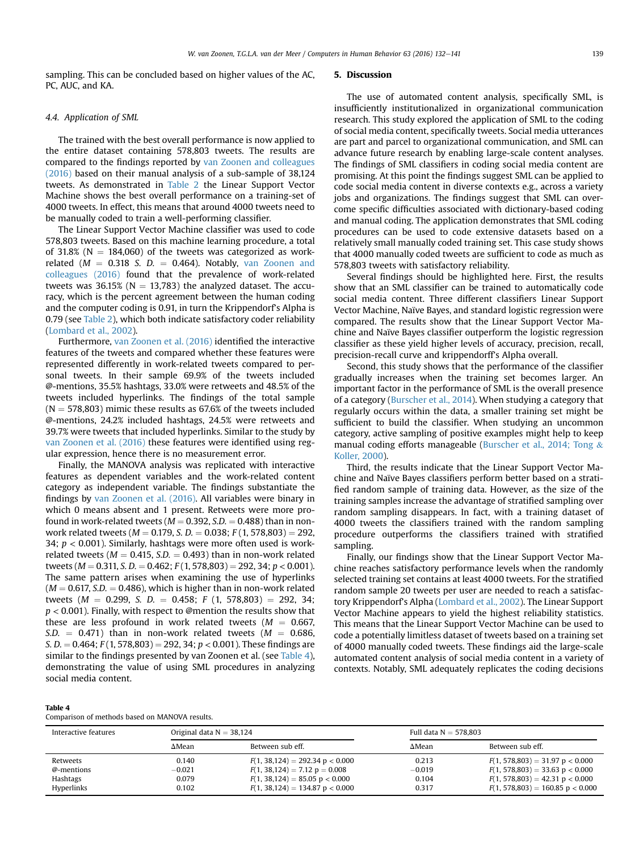sampling. This can be concluded based on higher values of the AC, PC, AUC, and KA.

# 4.4. Application of SML

The trained with the best overall performance is now applied to the entire dataset containing 578,803 tweets. The results are compared to the findings reported by [van Zoonen and colleagues](#page-10-0) [\(2016\)](#page-10-0) based on their manual analysis of a sub-sample of 38,124 tweets. As demonstrated in [Table 2](#page-6-0) the Linear Support Vector Machine shows the best overall performance on a training-set of 4000 tweets. In effect, this means that around 4000 tweets need to be manually coded to train a well-performing classifier.

The Linear Support Vector Machine classifier was used to code 578,803 tweets. Based on this machine learning procedure, a total of 31.8% ( $N = 184,060$ ) of the tweets was categorized as workrelated ( $M = 0.318$  S. D.  $= 0.464$ ). Notably, [van Zoonen and](#page-10-0) [colleagues \(2016\)](#page-10-0) found that the prevalence of work-related tweets was 36.15% ( $N = 13.783$ ) the analyzed dataset. The accuracy, which is the percent agreement between the human coding and the computer coding is 0.91, in turn the Krippendorf's Alpha is 0.79 (see [Table 2\)](#page-6-0), which both indicate satisfactory coder reliability ([Lombard et al., 2002](#page-10-0)).

Furthermore, [van Zoonen et al. \(2016\)](#page-10-0) identified the interactive features of the tweets and compared whether these features were represented differently in work-related tweets compared to personal tweets. In their sample 69.9% of the tweets included @-mentions, 35.5% hashtags, 33.0% were retweets and 48.5% of the tweets included hyperlinks. The findings of the total sample  $(N = 578,803)$  mimic these results as 67.6% of the tweets included @-mentions, 24.2% included hashtags, 24.5% were retweets and 39.7% were tweets that included hyperlinks. Similar to the study by [van Zoonen et al. \(2016\)](#page-10-0) these features were identified using regular expression, hence there is no measurement error.

Finally, the MANOVA analysis was replicated with interactive features as dependent variables and the work-related content category as independent variable. The findings substantiate the findings by [van Zoonen et al. \(2016\)](#page-10-0). All variables were binary in which 0 means absent and 1 present. Retweets were more profound in work-related tweets ( $M = 0.392$ , S.D.  $= 0.488$ ) than in nonwork related tweets ( $M = 0.179$ , S. D. = 0.038; F (1, 578,803) = 292, 34;  $p < 0.001$ ). Similarly, hashtags were more often used is workrelated tweets ( $M = 0.415$ , S.D. = 0.493) than in non-work related tweets ( $M = 0.311$ , S. D. = 0.462; F (1, 578,803) = 292, 34; p < 0.001). The same pattern arises when examining the use of hyperlinks  $(M = 0.617, S.D. = 0.486)$ , which is higher than in non-work related tweets ( $M = 0.299$ , S. D. = 0.458; F (1, 578,803) = 292, 34;  $p < 0.001$ ). Finally, with respect to @mention the results show that these are less profound in work related tweets ( $M = 0.667$ , S.D.  $= 0.471$ ) than in non-work related tweets ( $M = 0.686$ , S. D. = 0.464; F (1, 578,803) = 292, 34;  $p < 0.001$ ). These findings are similar to the findings presented by van Zoonen et al. (see Table 4), demonstrating the value of using SML procedures in analyzing social media content.

#### 5. Discussion

The use of automated content analysis, specifically SML, is insufficiently institutionalized in organizational communication research. This study explored the application of SML to the coding of social media content, specifically tweets. Social media utterances are part and parcel to organizational communication, and SML can advance future research by enabling large-scale content analyses. The findings of SML classifiers in coding social media content are promising. At this point the findings suggest SML can be applied to code social media content in diverse contexts e.g., across a variety jobs and organizations. The findings suggest that SML can overcome specific difficulties associated with dictionary-based coding and manual coding. The application demonstrates that SML coding procedures can be used to code extensive datasets based on a relatively small manually coded training set. This case study shows that 4000 manually coded tweets are sufficient to code as much as 578,803 tweets with satisfactory reliability.

Several findings should be highlighted here. First, the results show that an SML classifier can be trained to automatically code social media content. Three different classifiers Linear Support Vector Machine, Naïve Bayes, and standard logistic regression were compared. The results show that the Linear Support Vector Machine and Naïve Bayes classifier outperform the logistic regression classifier as these yield higher levels of accuracy, precision, recall, precision-recall curve and krippendorff's Alpha overall.

Second, this study shows that the performance of the classifier gradually increases when the training set becomes larger. An important factor in the performance of SML is the overall presence of a category [\(Burscher et al., 2014\)](#page-9-0). When studying a category that regularly occurs within the data, a smaller training set might be sufficient to build the classifier. When studying an uncommon category, active sampling of positive examples might help to keep manual coding efforts manageable [\(Burscher et al., 2014; Tong](#page-9-0) & [Koller, 2000](#page-9-0)).

Third, the results indicate that the Linear Support Vector Machine and Naïve Bayes classifiers perform better based on a stratified random sample of training data. However, as the size of the training samples increase the advantage of stratified sampling over random sampling disappears. In fact, with a training dataset of 4000 tweets the classifiers trained with the random sampling procedure outperforms the classifiers trained with stratified sampling.

Finally, our findings show that the Linear Support Vector Machine reaches satisfactory performance levels when the randomly selected training set contains at least 4000 tweets. For the stratified random sample 20 tweets per user are needed to reach a satisfactory Krippendorf's Alpha ([Lombard et al., 2002\)](#page-10-0). The Linear Support Vector Machine appears to yield the highest reliability statistics. This means that the Linear Support Vector Machine can be used to code a potentially limitless dataset of tweets based on a training set of 4000 manually coded tweets. These findings aid the large-scale automated content analysis of social media content in a variety of contexts. Notably, SML adequately replicates the coding decisions

#### Table 4

Comparison of methods based on MANOVA results.

| Interactive features | Original data $N = 38,124$ |                                            |          | Full data $N = 578.803$                     |  |  |
|----------------------|----------------------------|--------------------------------------------|----------|---------------------------------------------|--|--|
|                      | $\Delta$ Mean              | Between sub eff.                           | ∆Mean    | Between sub eff.                            |  |  |
| Retweets             | 0.140                      | $F(1, 38, 124) = 292.34 \text{ p} < 0.000$ | 0.213    | $F(1, 578, 803) = 31.97 \text{ p} < 0.000$  |  |  |
| @-mentions           | $-0.021$                   | $F(1, 38, 124) = 7.12 \text{ p} = 0.008$   | $-0.019$ | $F(1, 578, 803) = 33.63 \text{ p} < 0.000$  |  |  |
| Hashtags             | 0.079                      | $F(1, 38, 124) = 85.05 \text{ p} < 0.000$  | 0.104    | $F(1, 578, 803) = 42.31 \text{ p} < 0.000$  |  |  |
| Hyperlinks           | 0.102                      | $F(1, 38, 124) = 134.87 \text{ p} < 0.000$ | 0.317    | $F(1, 578, 803) = 160.85 \text{ p} < 0.000$ |  |  |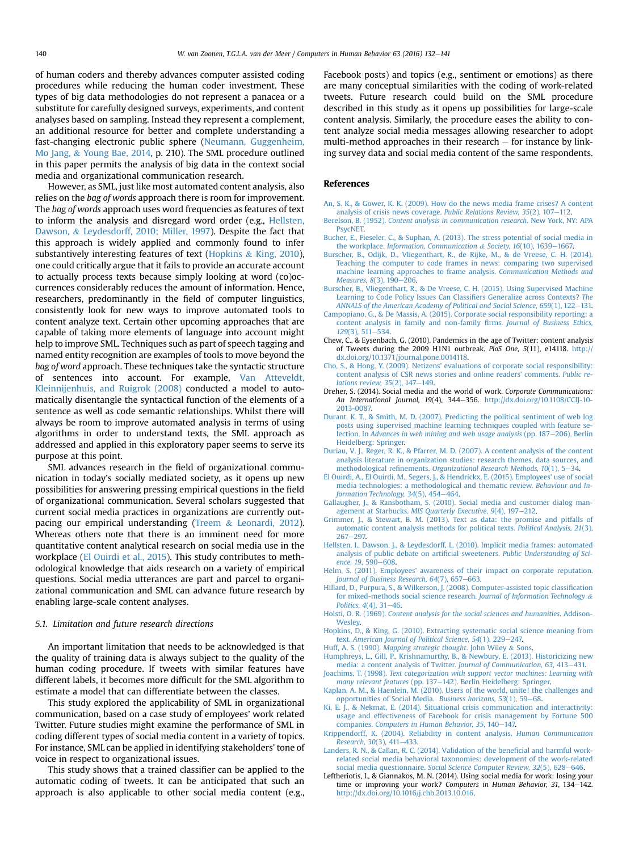<span id="page-9-0"></span>of human coders and thereby advances computer assisted coding procedures while reducing the human coder investment. These types of big data methodologies do not represent a panacea or a substitute for carefully designed surveys, experiments, and content analyses based on sampling. Instead they represent a complement, an additional resource for better and complete understanding a fast-changing electronic public sphere [\(Neumann, Guggenheim,](#page-10-0) [Mo Jang,](#page-10-0) & [Young Bae, 2014](#page-10-0), p. 210). The SML procedure outlined in this paper permits the analysis of big data in the context social media and organizational communication research.

However, as SML, just like most automated content analysis, also relies on the bag of words approach there is room for improvement. The bag of words approach uses word frequencies as features of text to inform the analysis and disregard word order (e.g., Hellsten, Dawson, & Leydesdorff, 2010; Miller, 1997). Despite the fact that this approach is widely applied and commonly found to infer substantively interesting features of text (Hopkins & King, 2010), one could critically argue that it fails to provide an accurate account to actually process texts because simply looking at word (co)occurrences considerably reduces the amount of information. Hence, researchers, predominantly in the field of computer linguistics, consistently look for new ways to improve automated tools to content analyze text. Certain other upcoming approaches that are capable of taking more elements of language into account might help to improve SML. Techniques such as part of speech tagging and named entity recognition are examples of tools to move beyond the bag of word approach. These techniques take the syntactic structure of sentences into account. For example, [Van Atteveldt,](#page-10-0) [Kleinnijenhuis, and Ruigrok \(2008\)](#page-10-0) conducted a model to automatically disentangle the syntactical function of the elements of a sentence as well as code semantic relationships. Whilst there will always be room to improve automated analysis in terms of using algorithms in order to understand texts, the SML approach as addressed and applied in this exploratory paper seems to serve its purpose at this point.

SML advances research in the field of organizational communication in today's socially mediated society, as it opens up new possibilities for answering pressing empirical questions in the field of organizational communication. Several scholars suggested that current social media practices in organizations are currently outpacing our empirical understanding [\(Treem](#page-10-0) & [Leonardi, 2012\)](#page-10-0). Whereas others note that there is an imminent need for more quantitative content analytical research on social media use in the workplace (El Ouirdi et al., 2015). This study contributes to methodological knowledge that aids research on a variety of empirical questions. Social media utterances are part and parcel to organizational communication and SML can advance future research by enabling large-scale content analyses.

## 5.1. Limitation and future research directions

An important limitation that needs to be acknowledged is that the quality of training data is always subject to the quality of the human coding procedure. If tweets with similar features have different labels, it becomes more difficult for the SML algorithm to estimate a model that can differentiate between the classes.

This study explored the applicability of SML in organizational communication, based on a case study of employees' work related Twitter. Future studies might examine the performance of SML in coding different types of social media content in a variety of topics. For instance, SML can be applied in identifying stakeholders' tone of voice in respect to organizational issues.

This study shows that a trained classifier can be applied to the automatic coding of tweets. It can be anticipated that such an approach is also applicable to other social media content (e.g., Facebook posts) and topics (e.g., sentiment or emotions) as there are many conceptual similarities with the coding of work-related tweets. Future research could build on the SML procedure described in this study as it opens up possibilities for large-scale content analysis. Similarly, the procedure eases the ability to content analyze social media messages allowing researcher to adopt multi-method approaches in their research  $-$  for instance by linking survey data and social media content of the same respondents.

#### References

- [An, S. K., & Gower, K. K. \(2009\). How do the news media frame crises? A content](http://refhub.elsevier.com/S0747-5632(16)30355-7/sref1) [analysis of crisis news coverage.](http://refhub.elsevier.com/S0747-5632(16)30355-7/sref1) Public Relations Review,  $35(2)$ ,  $107-112$  $107-112$ .
- Berelson, B. (1952). [Content analysis in communication research](http://refhub.elsevier.com/S0747-5632(16)30355-7/sref2). New York, NY: APA [PsycNET.](http://refhub.elsevier.com/S0747-5632(16)30355-7/sref2)
- [Bucher, E., Fieseler, C., & Suphan, A. \(2013\). The stress potential of social media in](http://refhub.elsevier.com/S0747-5632(16)30355-7/sref3) the workplace. [Information, Communication](http://refhub.elsevier.com/S0747-5632(16)30355-7/sref3) & [Society, 16](http://refhub.elsevier.com/S0747-5632(16)30355-7/sref3)(10), 1639-[1667.](http://refhub.elsevier.com/S0747-5632(16)30355-7/sref3)
- [Burscher, B., Odijk, D., Vliegenthart, R., de Rijke, M., & de Vreese, C. H. \(2014\).](http://refhub.elsevier.com/S0747-5632(16)30355-7/sref4) [Teaching the computer to code frames in news: comparing two supervised](http://refhub.elsevier.com/S0747-5632(16)30355-7/sref4) [machine learning approaches to frame analysis.](http://refhub.elsevier.com/S0747-5632(16)30355-7/sref4) Communication Methods and Measures,  $8(3)$ ,  $190-206$ .
- [Burscher, B., Vliegenthart, R., & De Vreese, C. H. \(2015\). Using Supervised Machine](http://refhub.elsevier.com/S0747-5632(16)30355-7/sref67) [Learning to Code Policy Issues Can Classi](http://refhub.elsevier.com/S0747-5632(16)30355-7/sref67)fiers Generalize across Contexts? The [ANNALS of the American Academy of Political and Social Science, 659](http://refhub.elsevier.com/S0747-5632(16)30355-7/sref67)(1), 122-[131.](http://refhub.elsevier.com/S0747-5632(16)30355-7/sref67)
- [Campopiano, G., & De Massis, A. \(2015\). Corporate social responsibility reporting: a](http://refhub.elsevier.com/S0747-5632(16)30355-7/sref5) [content analysis in family and non-family](http://refhub.elsevier.com/S0747-5632(16)30355-7/sref5) firms. Journal of Business Ethics,  $129(3)$ ,  $511 - 534$  $511 - 534$ .
- Chew, C., & Eysenbach, G. (2010). Pandemics in the age of Twitter: content analysis of Tweets during the 2009 H1N1 outbreak. PloS One, 5(11), e14118. [http://](http://dx.doi.org/10.1371/journal.pone.0014118) [dx.doi.org/10.1371/journal.pone.0014118.](http://dx.doi.org/10.1371/journal.pone.0014118)
- Cho, S., & Hong, Y. (2009). Netizens' [evaluations of corporate social responsibility:](http://refhub.elsevier.com/S0747-5632(16)30355-7/sref7) [content analysis of CSR news stories and online readers](http://refhub.elsevier.com/S0747-5632(16)30355-7/sref7)' comments. Public relations review,  $35(2)$ ,  $147-149$  $147-149$ .
- Dreher, S. (2014). Social media and the world of work. Corporate Communications: An International Journal, 19(4), 344-356. [http://dx.doi.org/10.1108/CCIJ-10-](http://dx.doi.org/10.1108/CCIJ-10-2013-0087) [2013-0087.](http://dx.doi.org/10.1108/CCIJ-10-2013-0087)
- [Durant, K. T., & Smith, M. D. \(2007\). Predicting the political sentiment of web log](http://refhub.elsevier.com/S0747-5632(16)30355-7/sref9) [posts using supervised machine learning techniques coupled with feature se-](http://refhub.elsevier.com/S0747-5632(16)30355-7/sref9)lection. In [Advances in web mining and web usage analysis](http://refhub.elsevier.com/S0747-5632(16)30355-7/sref9) (pp. 187–[206\). Berlin](http://refhub.elsevier.com/S0747-5632(16)30355-7/sref9) [Heidelberg: Springer.](http://refhub.elsevier.com/S0747-5632(16)30355-7/sref9)
- [Duriau, V. J., Reger, R. K., & Pfarrer, M. D. \(2007\). A content analysis of the content](http://refhub.elsevier.com/S0747-5632(16)30355-7/sref10) [analysis literature in organization studies: research themes, data sources, and](http://refhub.elsevier.com/S0747-5632(16)30355-7/sref10) methodological refinements. [Organizational Research Methods, 10](http://refhub.elsevier.com/S0747-5632(16)30355-7/sref10)(1), 5-[34.](http://refhub.elsevier.com/S0747-5632(16)30355-7/sref10)
- [El Ouirdi, A., El Ouirdi, M., Segers, J., & Hendrickx, E. \(2015\). Employees](http://refhub.elsevier.com/S0747-5632(16)30355-7/sref11)' use of social [media technologies: a methodological and thematic review.](http://refhub.elsevier.com/S0747-5632(16)30355-7/sref11) Behaviour and Information Technology,  $34(5)$ ,  $454-464$ .
- [Gallaugher, J., & Ransbotham, S. \(2010\). Social media and customer dialog man-](http://refhub.elsevier.com/S0747-5632(16)30355-7/sref12)agement at Starbucks. [MIS Quarterly Executive, 9](http://refhub.elsevier.com/S0747-5632(16)30355-7/sref12)(4), 197-[212](http://refhub.elsevier.com/S0747-5632(16)30355-7/sref12).
- [Grimmer, J., & Stewart, B. M. \(2013\). Text as data: the promise and pitfalls of](http://refhub.elsevier.com/S0747-5632(16)30355-7/sref13) [automatic content analysis methods for political texts.](http://refhub.elsevier.com/S0747-5632(16)30355-7/sref13) Political Analysis, 21(3), [267](http://refhub.elsevier.com/S0747-5632(16)30355-7/sref13)-297
- [Hellsten, I., Dawson, J., & Leydesdorff, L. \(2010\). Implicit media frames: automated](http://refhub.elsevier.com/S0747-5632(16)30355-7/sref15) [analysis of public debate on arti](http://refhub.elsevier.com/S0747-5632(16)30355-7/sref15)ficial sweeteners. Public Understanding of Sci[ence, 19](http://refhub.elsevier.com/S0747-5632(16)30355-7/sref15), 590-[608.](http://refhub.elsevier.com/S0747-5632(16)30355-7/sref15)
- [Helm, S. \(2011\). Employees' awareness of their impact on corporate reputation.](http://refhub.elsevier.com/S0747-5632(16)30355-7/sref64) [Journal of Business Research, 64](http://refhub.elsevier.com/S0747-5632(16)30355-7/sref64)(7), 657-[663.](http://refhub.elsevier.com/S0747-5632(16)30355-7/sref64)
- [Hillard, D., Purpura, S., & Wilkerson, J. \(2008\). Computer-assisted topic classi](http://refhub.elsevier.com/S0747-5632(16)30355-7/sref16)fication [for mixed-methods social science research.](http://refhub.elsevier.com/S0747-5632(16)30355-7/sref16) Journal of Information Technology & Politics,  $4(4)$ ,  $31-46$  $31-46$ .
- Holsti, O. R. (1969). [Content analysis for the social sciences and humanities](http://refhub.elsevier.com/S0747-5632(16)30355-7/sref17). Addison-**[Wesley.](http://refhub.elsevier.com/S0747-5632(16)30355-7/sref17)**
- [Hopkins, D., & King, G. \(2010\). Extracting systematic social science meaning from](http://refhub.elsevier.com/S0747-5632(16)30355-7/sref18) text. [American Journal of Political Science, 54](http://refhub.elsevier.com/S0747-5632(16)30355-7/sref18)(1), 229-[247.](http://refhub.elsevier.com/S0747-5632(16)30355-7/sref18)
- Huff, A. S. (1990). [Mapping strategic thought](http://refhub.elsevier.com/S0747-5632(16)30355-7/sref19). John Wiley & [Sons.](http://refhub.elsevier.com/S0747-5632(16)30355-7/sref19)
- [Humphreys, L., Gill, P., Krishnamurthy, B., & Newbury, E. \(2013\). Historicizing new](http://refhub.elsevier.com/S0747-5632(16)30355-7/sref20) [media: a content analysis of Twitter.](http://refhub.elsevier.com/S0747-5632(16)30355-7/sref20) Journal of Communication, 63, 413-[431.](http://refhub.elsevier.com/S0747-5632(16)30355-7/sref20)
- Joachims, T. (1998). [Text categorization with support vector machines: Learning with](http://refhub.elsevier.com/S0747-5632(16)30355-7/sref21) [many relevant features](http://refhub.elsevier.com/S0747-5632(16)30355-7/sref21) (pp. 137-[142\). Berlin Heidelberg: Springer.](http://refhub.elsevier.com/S0747-5632(16)30355-7/sref21)
- [Kaplan, A. M., & Haenlein, M. \(2010\). Users of the world, unite! the challenges and](http://refhub.elsevier.com/S0747-5632(16)30355-7/sref22) [opportunities of Social Media.](http://refhub.elsevier.com/S0747-5632(16)30355-7/sref22) Business horizons, 53(1), 59-[68.](http://refhub.elsevier.com/S0747-5632(16)30355-7/sref22)
- [Ki, E. J., & Nekmat, E. \(2014\). Situational crisis communication and interactivity:](http://refhub.elsevier.com/S0747-5632(16)30355-7/sref23) [usage and effectiveness of Facebook for crisis management by Fortune 500](http://refhub.elsevier.com/S0747-5632(16)30355-7/sref23) companies. [Computers in Human Behavior, 35](http://refhub.elsevier.com/S0747-5632(16)30355-7/sref23), 140-[147.](http://refhub.elsevier.com/S0747-5632(16)30355-7/sref23)
- [Krippendorff, K. \(2004\). Reliability in content analysis.](http://refhub.elsevier.com/S0747-5632(16)30355-7/sref25) Human Communication  $Research, 30(3), 411-433.$  $Research, 30(3), 411-433.$  $Research, 30(3), 411-433.$
- [Landers, R. N., & Callan, R. C. \(2014\). Validation of the bene](http://refhub.elsevier.com/S0747-5632(16)30355-7/sref28)ficial and harmful work[related social media behavioral taxonomies: development of the work-related](http://refhub.elsevier.com/S0747-5632(16)30355-7/sref28) social media questionnaire. [Social Science Computer Review, 32](http://refhub.elsevier.com/S0747-5632(16)30355-7/sref28)(5), 628-[646.](http://refhub.elsevier.com/S0747-5632(16)30355-7/sref28)
- Leftheriotis, I., & Giannakos, M. N. (2014). Using social media for work: losing your time or improving your work? Computers in Human Behavior, 31, 134-142. [http://dx.doi.org/10.1016/j.chb.2013.10.016.](http://dx.doi.org/10.1016/j.chb.2013.10.016)